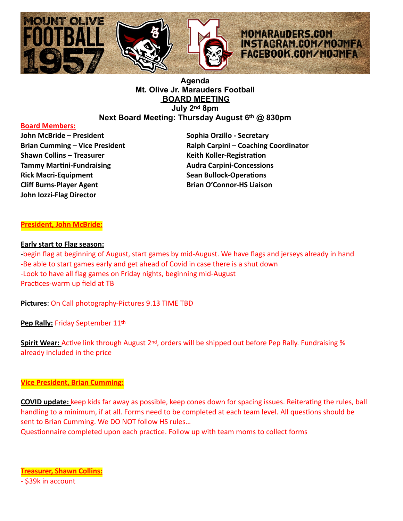

# **Agenda Mt. Olive Jr. Marauders Football BOARD MEETING July 2nd 8pm Next Board Meeting: Thursday August 6th @ 830pm**

#### **Board Members:**

**John McBride – President Sophia Orzillo - Secretary Communist Communist Communist Communist Communist Communist Communist Communist Communist Communist Communist Communist Communist Communist Communist Communist Communist Shawn Collins – Treasurer Keith Koller-RegistraDon Tammy Martini-Fundraising Community Concessions Audra Carpini-Concessions Rick Macri-Equipment Sean Bullock-Operations Cliff Burns-Player Agent Brian O'Connor-HS Liaison John Iozzi-Flag Director** 

**Brian Cumming – Vice President Ralph Carpini – Coaching Coordinator** 

# **President, John McBride:**

#### **Early start to Flag season:**

-begin flag at beginning of August, start games by mid-August. We have flags and jerseys already in hand -Be able to start games early and get ahead of Covid in case there is a shut down -Look to have all flag games on Friday nights, beginning mid-August Practices-warm up field at TB

**Pictures**: On Call photography-Pictures 9.13 TIME TBD

**Pep Rally: Friday September 11th** 

**Spirit Wear:** Active link through August 2<sup>nd</sup>, orders will be shipped out before Pep Rally. Fundraising % already included in the price

## **Vice President, Brian Cumming:**

**COVID update:** keep kids far away as possible, keep cones down for spacing issues. Reiterating the rules, ball handling to a minimum, if at all. Forms need to be completed at each team level. All questions should be sent to Brian Cumming. We DO NOT follow HS rules…

Questionnaire completed upon each practice. Follow up with team moms to collect forms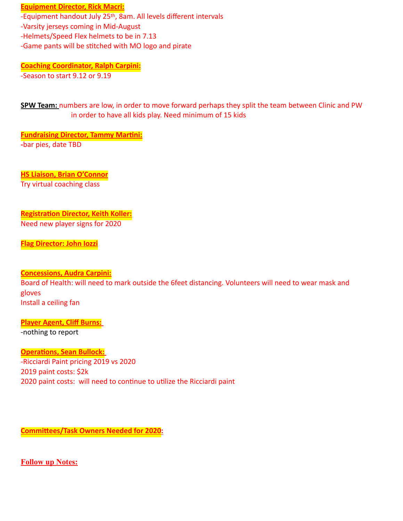**Equipment Director, Rick Macri:** 

-Equipment handout July 25th, 8am. All levels different intervals -Varsity jerseys coming in Mid-August

-Helmets/Speed Flex helmets to be in 7.13

-Game pants will be stitched with MO logo and pirate

**Coaching Coordinator, Ralph Carpini:** -Season to start 9.12 or 9.19

**SPW Team:** numbers are low, in order to move forward perhaps they split the team between Clinic and PW in order to have all kids play. Need minimum of 15 kids

**Fundraising Director, Tammy Martini: -**bar pies, date TBD

**HS Liaison, Brian O'Connor** Try virtual coaching class

### **Registration Director, Keith Koller:** Need new player signs for 2020

**Flag Director: John Iozzi**

# **Concessions, Audra Carpini:**

Board of Health: will need to mark outside the 6feet distancing. Volunteers will need to wear mask and gloves Install a ceiling fan

**Player Agent, Cliff Burns:** -nothing to report

**Operations, Sean Bullock:** -Ricciardi Paint pricing 2019 vs 2020 2019 paint costs: \$2k 2020 paint costs: will need to continue to utilize the Ricciardi paint

**Committees/Task Owners Needed for 2020:** 

**Follow up Notes:**